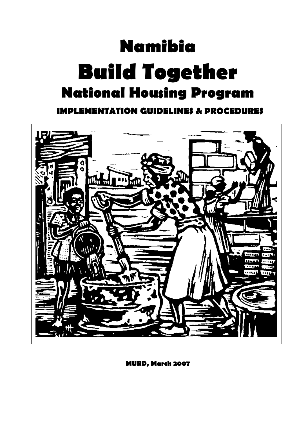# **Namibia Build Together National Housing Program**

**IMPLEMENTATION GUIDELINES & PROCEDURES**



**MURD, March 2007**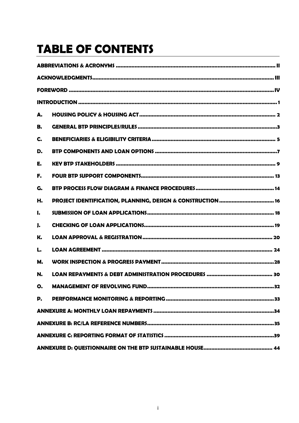# **TABLE OF CONTENTS**

| А.        |                                                             |  |  |  |
|-----------|-------------------------------------------------------------|--|--|--|
| В.        |                                                             |  |  |  |
| C.        |                                                             |  |  |  |
| D.        |                                                             |  |  |  |
| E.        |                                                             |  |  |  |
| F.        |                                                             |  |  |  |
| G.        |                                                             |  |  |  |
| Н.        | PROJECT IDENTIFICATION, PLANNING, DESIGN & CONSTRUCTION  16 |  |  |  |
| I.        |                                                             |  |  |  |
| J.        |                                                             |  |  |  |
| K.        |                                                             |  |  |  |
| L.        |                                                             |  |  |  |
| <b>M.</b> |                                                             |  |  |  |
| N.        |                                                             |  |  |  |
| O.        |                                                             |  |  |  |
| P.        |                                                             |  |  |  |
|           |                                                             |  |  |  |
|           |                                                             |  |  |  |
|           |                                                             |  |  |  |
|           |                                                             |  |  |  |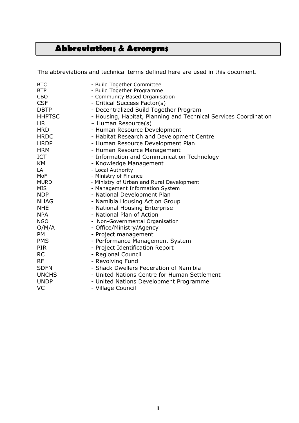# <span id="page-2-0"></span>**Abbreviations & Acronyms**

The abbreviations and technical terms defined here are used in this document.

| <b>BTC</b>    | - Build Together Committee                                       |
|---------------|------------------------------------------------------------------|
| <b>BTP</b>    | - Build Together Programme                                       |
| CBO           | - Community Based Organisation                                   |
| <b>CSF</b>    | - Critical Success Factor(s)                                     |
| <b>DBTP</b>   | - Decentralized Build Together Program                           |
| <b>HHPTSC</b> | - Housing, Habitat, Planning and Technical Services Coordination |
| <b>HR</b>     | - Human Resource(s)                                              |
| <b>HRD</b>    | - Human Resource Development                                     |
| <b>HRDC</b>   | - Habitat Research and Development Centre                        |
| <b>HRDP</b>   | - Human Resource Development Plan                                |
| <b>HRM</b>    | - Human Resource Management                                      |
| <b>ICT</b>    | - Information and Communication Technology                       |
| KM            | - Knowledge Management                                           |
| LA            | - Local Authority                                                |
| MoF           | - Ministry of Finance                                            |
| <b>MURD</b>   | - Ministry of Urban and Rural Development                        |
| <b>MIS</b>    | - Management Information System                                  |
| <b>NDP</b>    | - National Development Plan                                      |
| <b>NHAG</b>   | - Namibia Housing Action Group                                   |
| <b>NHE</b>    | - National Housing Enterprise                                    |
| <b>NPA</b>    | - National Plan of Action                                        |
| <b>NGO</b>    | - Non-Governmental Organisation                                  |
| O/M/A         | - Office/Ministry/Agency                                         |
| <b>PM</b>     | - Project management                                             |
| <b>PMS</b>    | - Performance Management System                                  |
| <b>PIR</b>    | - Project Identification Report                                  |
| <b>RC</b>     | - Regional Council                                               |
| <b>RF</b>     | - Revolving Fund                                                 |
| <b>SDFN</b>   | - Shack Dwellers Federation of Namibia                           |
| <b>UNCHS</b>  | - United Nations Centre for Human Settlement                     |
| <b>UNDP</b>   | - United Nations Development Programme                           |
| VC            | - Village Council                                                |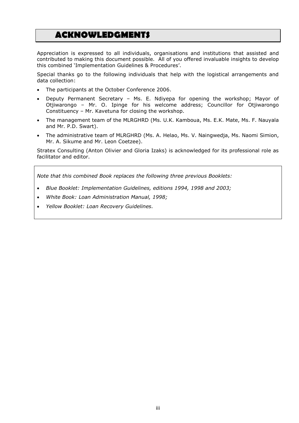# <span id="page-3-0"></span>**ACKNOWLEDGMENTS**

Appreciation is expressed to all individuals, organisations and institutions that assisted and contributed to making this document possible. All of you offered invaluable insights to develop this combined 'Implementation Guidelines & Procedures'.

Special thanks go to the following individuals that help with the logistical arrangements and data collection:

- The participants at the October Conference 2006.
- Deputy Permanent Secretary Ms. E. Ndiyepa for opening the workshop; Mayor of Otjiwarongo – Mr. O. Ipinge for his welcome address; Councillor for Otjiwarongo Constituency – Mr. Kavetuna for closing the workshop.
- The management team of the MLRGHRD (Ms. U.K. Kamboua, Ms. E.K. Mate, Ms. F. Nauyala and Mr. P.D. Swart).
- The administrative team of MLRGHRD (Ms. A. Helao, Ms. V. Naingwedja, Ms. Naomi Simion, Mr. A. Sikume and Mr. Leon Coetzee).

Stratex Consulting (Anton Olivier and Gloria Izaks) is acknowledged for its professional role as facilitator and editor.

*Note that this combined Book replaces the following three previous Booklets:*

- *Blue Booklet: Implementation Guidelines, editions 1994, 1998 and 2003;*
- *White Book: Loan Administration Manual, 1998;*
- *Yellow Booklet: Loan Recovery Guidelines.*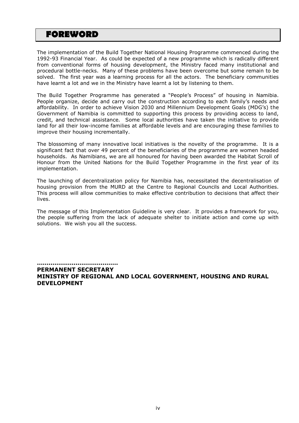# <span id="page-4-0"></span>**FOREWORD**

The implementation of the Build Together National Housing Programme commenced during the 1992-93 Financial Year. As could be expected of a new programme which is radically different from conventional forms of housing development, the Ministry faced many institutional and procedural bottle-necks. Many of these problems have been overcome but some remain to be solved. The first year was a learning process for all the actors. The beneficiary communities have learnt a lot and we in the Ministry have learnt a lot by listening to them.

The Build Together Programme has generated a "People's Process" of housing in Namibia. People organize, decide and carry out the construction according to each family's needs and affordability. In order to achieve Vision 2030 and Millennium Development Goals (MDG's) the Government of Namibia is committed to supporting this process by providing access to land, credit, and technical assistance. Some local authorities have taken the initiative to provide land for all their low-income families at affordable levels and are encouraging these families to improve their housing incrementally.

The blossoming of many innovative local initiatives is the novelty of the programme. It is a significant fact that over 49 percent of the beneficiaries of the programme are women headed households. As Namibians, we are all honoured for having been awarded the Habitat Scroll of Honour from the United Nations for the Build Together Programme in the first year of its implementation.

The launching of decentralization policy for Namibia has, necessitated the decentralisation of housing provision from the MURD at the Centre to Regional Councils and Local Authorities. This process will allow communities to make effective contribution to decisions that affect their lives.

The message of this Implementation Guideline is very clear. It provides a framework for you, the people suffering from the lack of adequate shelter to initiate action and come up with solutions. We wish you all the success.

**…………………………………… PERMANENT SECRETARY MINISTRY OF REGIONAL AND LOCAL GOVERNMENT, HOUSING AND RURAL DEVELOPMENT**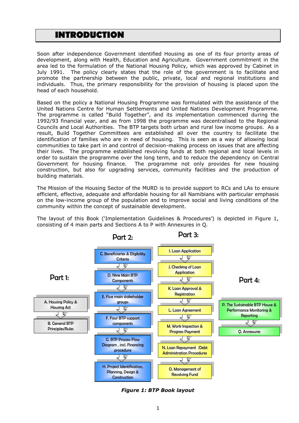# <span id="page-5-0"></span>**INTRODUCTION**

Soon after independence Government identified Housing as one of its four priority areas of development, along with Health, Education and Agriculture. Government commitment in the area led to the formulation of the National Housing Policy, which was approved by Cabinet in July 1991. The policy clearly states that the role of the government is to facilitate and promote the partnership between the public, private, local and regional institutions and individuals. Thus, the primary responsibility for the provision of housing is placed upon the head of each household.

Based on the policy a National Housing Programme was formulated with the assistance of the United Nations Centre for Human Settlements and United Nations Development Programme. The programme is called "Build Together", and its implementation commenced during the 1992/93 financial year, and as from 1998 the programme was decentralised to the Regional Councils and Local Authorities. The BTP targets both urban and rural low income groups. As a result, Build Together Committees are established all over the country to facilitate the identification of families who are in need of housing. This is seen as a way of allowing local communities to take part in and control of decision-making process on issues that are affecting their lives. The programme established revolving funds at both regional and local levels in order to sustain the programme over the long term, and to reduce the dependency on Central Government for housing finance. The programme not only provides for new housing construction, but also for upgrading services, community facilities and the production of building materials.

The Mission of the Housing Sector of the MURD is to provide support to RCs and LAs to ensure efficient, effective, adequate and affordable housing for all Namibians with particular emphasis on the low-income group of the population and to improve social and living conditions of the community within the concept of sustainable development.

The layout of this Book ('Implementation Guidelines & Procedures') is depicted in Figure 1, consisting of 4 main parts and Sections A to P with Annexures in Q.



*Figure 1: BTP Book layout*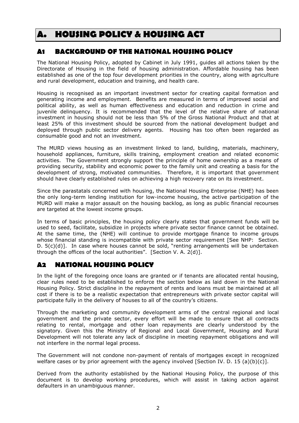# <span id="page-6-0"></span>**A. HOUSING POLICY & HOUSING ACT**

# **A1 BACKGROUND OF THE NATIONAL HOUSING POLICY**

The National Housing Policy, adopted by Cabinet in July 1991, guides all actions taken by the Directorate of Housing in the field of housing administration. Affordable housing has been established as one of the top four development priorities in the country, along with agriculture and rural development, education and training, and health care.

Housing is recognised as an important investment sector for creating capital formation and generating income and employment. Benefits are measured in terms of improved social and political ability, as well as human effectiveness and education and reduction in crime and juvenile delinquency. It is recommended that the level of the relative share of national investment in housing should not be less than 5% of the Gross National Product and that at least 25% of this investment should be sourced from the national development budget and deployed through public sector delivery agents. Housing has too often been regarded as consumable good and not an investment.

The MURD views housing as an investment linked to land, building, materials, machinery, household appliances, furniture, skills training, employment creation and related economic activities. The Government strongly support the principle of home ownership as a means of providing security, stability and economic power to the family unit and creating a basis for the development of strong, motivated communities. Therefore, it is important that government should have clearly established rules on achieving a high recovery rate on its investment.

Since the parastatals concerned with housing, the National Housing Enterprise (NHE) has been the only long-term lending institution for low-income housing, the active participation of the MURD will make a major assault on the housing backlog, as long as public financial recourses are targeted at the lowest income groups.

In terms of basic principles, the housing policy clearly states that government funds will be used to seed, facilitate, subsidize in projects where private sector finance cannot be obtained. At the same time, the (NHE) will continue to provide mortgage finance to income groups whose financial standing is incompatible with private sector requirement [See NHP: Section, D. 5(c)(d)]. In case where houses cannot be sold, "renting arrangements will be undertaken through the offices of the local authorities". [Section V. A. 2(d)].

# **A2 NATIONAL HOUSING POLICY**

In the light of the foregoing once loans are granted or if tenants are allocated rental housing, clear rules need to be established to enforce the section below as laid down in the National Housing Policy. Strict discipline in the repayment of rents and loans must be maintained at all cost if there is to be a realistic expectation that entrepreneurs with private sector capital will participate fully in the delivery of houses to all of the country's citizens.

Through the marketing and community development arms of the central regional and local government and the private sector, every effort will be made to ensure that all contracts relating to rental, mortgage and other loan repayments are clearly understood by the signatory. Given this the Ministry of Regional and Local Government, Housing and Rural Development will not tolerate any lack of discipline in meeting repayment obligations and will not interfere in the normal legal process.

The Government will not condone non-payment of rentals of mortgages except in recognized welfare cases or by prior agreement with the agency involved [Section IV. D. 15 (a)(b)(c)].

Derived from the authority established by the National Housing Policy, the purpose of this document is to develop working procedures, which will assist in taking action against defaulters in an unambiguous manner.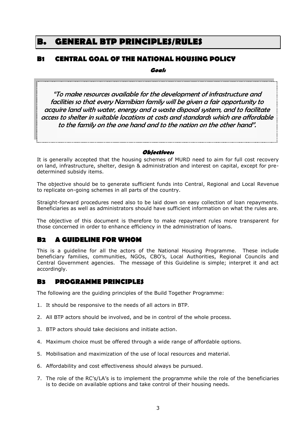# <span id="page-7-0"></span>**B. GENERAL BTP PRINCIPLES/RULES**

# **B1 CENTRAL GOAL OF THE NATIONAL HOUSING POLICY**

**Goal:**

"To make resources available for the development of infrastructure and facilities so that every Namibian family will be given a fair opportunity to acquire land with water, energy and a waste disposal system, and to facilitate access to shelter in suitable locations at costs and standards which are affordable to the family on the one hand and to the nation on the other hand".

### **Objectives:**

It is generally accepted that the housing schemes of MURD need to aim for full cost recovery on land, infrastructure, shelter, design & administration and interest on capital, except for predetermined subsidy items.

The objective should be to generate sufficient funds into Central, Regional and Local Revenue to replicate on-going schemes in all parts of the country.

Straight-forward procedures need also to be laid down on easy collection of loan repayments. Beneficiaries as well as administrators should have sufficient information on what the rules are.

The objective of this document is therefore to make repayment rules more transparent for those concerned in order to enhance efficiency in the administration of loans.

# **B2 A GUIDELINE FOR WHOM**

This is a guideline for all the actors of the National Housing Programme. These include beneficiary families, communities, NGOs, CBO's, Local Authorities, Regional Councils and Central Government agencies. The message of this Guideline is simple; interpret it and act accordingly.

### **B3 PROGRAMME PRINCIPLES**

The following are the guiding principles of the Build Together Programme:

- 1. It should be responsive to the needs of all actors in BTP.
- 2. All BTP actors should be involved, and be in control of the whole process.
- 3. BTP actors should take decisions and initiate action.
- 4. Maximum choice must be offered through a wide range of affordable options.
- 5. Mobilisation and maximization of the use of local resources and material.
- 6. Affordability and cost effectiveness should always be pursued.
- 7. The role of the RC's/LA's is to implement the programme while the role of the beneficiaries is to decide on available options and take control of their housing needs.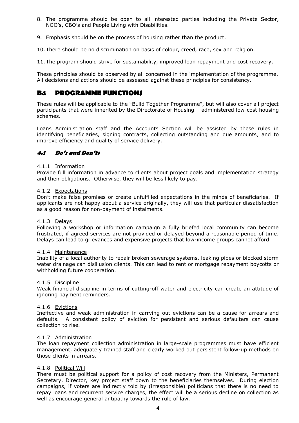- 8. The programme should be open to all interested parties including the Private Sector, NGO's, CBO's and People Living with Disabilities.
- 9. Emphasis should be on the process of housing rather than the product.

10. There should be no discrimination on basis of colour, creed, race, sex and religion.

11. The program should strive for sustainability, improved loan repayment and cost recovery.

These principles should be observed by all concerned in the implementation of the programme. All decisions and actions should be assessed against these principles for consistency.

# **B4 PROGRAMME FUNCTIONS**

These rules will be applicable to the "Build Together Programme", but will also cover all project participants that were inherited by the Directorate of Housing – administered low-cost housing schemes.

Loans Administration staff and the Accounts Section will be assisted by these rules in identifying beneficiaries, signing contracts, collecting outstanding and due amounts, and to improve efficiency and quality of service delivery.

### **4.1 Do's and Don'ts**

### 4.1.1 Information

Provide full information in advance to clients about project goals and implementation strategy and their obligations. Otherwise, they will be less likely to pay.

#### 4.1.2 Expectations

Don't make false promises or create unfulfilled expectations in the minds of beneficiaries. If applicants are not happy about a service originally, they will use that particular dissatisfaction as a good reason for non-payment of instalments.

### 4.1.3 Delays

Following a workshop or information campaign a fully briefed local community can become frustrated, if agreed services are not provided or delayed beyond a reasonable period of time. Delays can lead to grievances and expensive projects that low-income groups cannot afford.

#### 4.1.4 Maintenance

Inability of a local authority to repair broken sewerage systems, leaking pipes or blocked storm water drainage can disillusion clients. This can lead to rent or mortgage repayment boycotts or withholding future cooperation.

### 4.1.5 Discipline

Weak financial discipline in terms of cutting-off water and electricity can create an attitude of ignoring payment reminders.

### 4.1.6 Evictions

Ineffective and weak administration in carrying out evictions can be a cause for arrears and defaults. A consistent policy of eviction for persistent and serious defaulters can cause collection to rise.

### 4.1.7 Administration

The loan repayment collection administration in large-scale programmes must have efficient management, adequately trained staff and clearly worked out persistent follow-up methods on those clients in arrears.

### 4.1.8 Political Will

There must be political support for a policy of cost recovery from the Ministers, Permanent Secretary, Director, key project staff down to the beneficiaries themselves. During election campaigns, if voters are indirectly told by (irresponsible) politicians that there is no need to repay loans and recurrent service charges, the effect will be a serious decline on collection as well as encourage general antipathy towards the rule of law.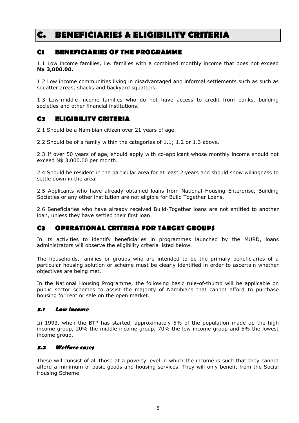# <span id="page-9-0"></span>**C. BENEFICIARIES & ELIGIBILITY CRITERIA**

# **C1 BENEFICIARIES OF THE PROGRAMME**

1.1 Low income families, i.e. families with a combined monthly income that does not exceed **N\$ 3,000.00.**

1.2 Low income communities living in disadvantaged and informal settlements such as such as squatter areas, shacks and backyard squatters.

1.3 Low-middle income families who do not have access to credit from banks, building societies and other financial institutions.

# **C2 ELIGIBILITY CRITERIA**

2.1 Should be a Namibian citizen over 21 years of age.

2.2 Should be of a family within the categories of 1.1; 1.2 or 1.3 above.

2.3 If over 50 years of age, should apply with co-applicant whose monthly income should not exceed N\$ 3,000.00 per month.

2.4 Should be resident in the particular area for at least 2 years and should show willingness to settle down in the area.

2.5 Applicants who have already obtained loans from National Housing Enterprise, Building Societies or any other institution are not eligible for Build Together Loans.

2.6 Beneficiaries who have already received Build-Together loans are not entitled to another loan, unless they have settled their first loan.

# **C3 OPERATIONAL CRITERIA FOR TARGET GROUPS**

In its activities to identify beneficiaries in programmes launched by the MURD, loans administrators will observe the eligibility criteria listed below.

The households, families or groups who are intended to be the primary beneficiaries of a particular housing solution or scheme must be clearly identified in order to ascertain whether objectives are being met.

In the National Housing Programme, the following basic rule-of-thumb will be applicable on public sector schemes to assist the majority of Namibians that cannot afford to purchase housing for rent or sale on the open market.

### **3.1 Low income**

In 1993, when the BTP has started, approximately 5% of the population made up the high income group, 20% the middle income group, 70% the low income group and 5% the lowest income group.

### **3.2 Welfare cases**

These will consist of all those at a poverty level in which the income is such that they cannot afford a minimum of basic goods and housing services. They will only benefit from the Social Housing Scheme.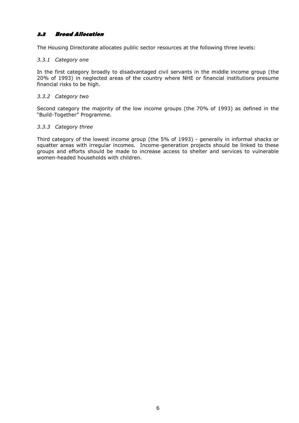### **3.3 Broad Allocation**

The Housing Directorate allocates public sector resources at the following three levels:

### *3.3.1 Category one*

In the first category broadly to disadvantaged civil servants in the middle income group (the 20% of 1993) in neglected areas of the country where NHE or financial institutions presume financial risks to be high.

### *3.3.2 Category two*

Second category the majority of the low income groups (the 70% of 1993) as defined in the "Build-Together" Programme.

### *3.3.3 Category three*

Third category of the lowest income group (the 5% of 1993) - generally in informal shacks or squatter areas with irregular incomes. Income-generation projects should be linked to these groups and efforts should be made to increase access to shelter and services to vulnerable women-headed households with children.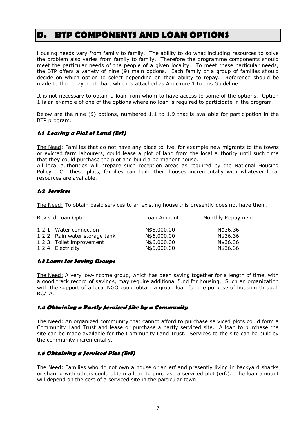# <span id="page-11-0"></span>**D. BTP COMPONENTS AND LOAN OPTIONS**

Housing needs vary from family to family. The ability to do what including resources to solve the problem also varies from family to family. Therefore the programme components should meet the particular needs of the people of a given locality. To meet these particular needs, the BTP offers a variety of nine (9) main options. Each family or a group of families should decide on which option to select depending on their ability to repay. Reference should be made to the repayment chart which is attached as Annexure 1 to this Guideline.

It is not necessary to obtain a loan from whom to have access to some of the options. Option 1 is an example of one of the options where no loan is required to participate in the program.

Below are the nine (9) options, numbered 1.1 to 1.9 that is available for participation in the BTP program.

### **1.1 Leasing a Plot of Land (Erf)**

The Need: Families that do not have any place to live, for example new migrants to the towns or evicted farm labourers, could lease a plot of land from the local authority until such time that they could purchase the plot and build a permanent house.

All local authorities will prepare such reception areas as required by the National Housing Policy. On these plots, families can build their houses incrementally with whatever local resources are available.

### **1.2 Services**

The Need: To obtain basic services to an existing house this presently does not have them.

| Revised Loan Option |                               | Loan Amount | Monthly Repayment |  |
|---------------------|-------------------------------|-------------|-------------------|--|
|                     | 1.2.1 Water connection        | N\$6,000.00 | N\$36.36          |  |
|                     | 1.2.2 Rain water storage tank | N\$6,000.00 | N\$36.36          |  |
|                     | 1.2.3 Toilet improvement      | N\$6,000.00 | N\$36.36          |  |
|                     | 1.2.4 Electricity             | N\$6,000.00 | N\$36.36          |  |

### **1.3 Loans for Saving Groups**

The Need: A very low-income group, which has been saving together for a length of time, with a good track record of savings, may require additional fund for housing. Such an organization with the support of a local NGO could obtain a group loan for the purpose of housing through RC/LA.

### **1.4 Obtaining a Partly Serviced Site by a Community**

The Need: An organized community that cannot afford to purchase serviced plots could form a Community Land Trust and lease or purchase a partly serviced site. A loan to purchase the site can be made available for the Community Land Trust. Services to the site can be built by the community incrementally.

### **1.5 Obtaining a Serviced Plot (Erf)**

The Need: Families who do not own a house or an erf and presently living in backyard shacks or sharing with others could obtain a loan to purchase a serviced plot (erf.). The loan amount will depend on the cost of a serviced site in the particular town.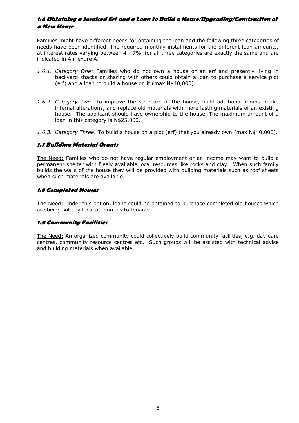### **1.6 Obtaining a Serviced Erf and a Loan to Build a House/Upgrading/Construction of a New House**

Families might have different needs for obtaining the loan and the following three categories of needs have been identified. The required monthly instalments for the different loan amounts, at interest rates varying between 4 - 7%, for all three categories are exactly the same and are indicated in Annexure A.

- *1.6.1. Category One:* Families who do not own a house or an erf and presently living in backyard shacks or sharing with others could obtain a loan to purchase a service plot (erf) and a loan to build a house on it (max N\$40,000).
- *1.6.2. Category Two:* To improve the structure of the house, build additional rooms, make internal alterations, and replace old materials with more lasting materials of an existing house. The applicant should have ownership to the house. The maximum amount of a loan in this category is N\$25,000.
- *1.6.3. Category Three:* To build a house on a plot (erf) that you already own (max N\$40,000).

### **1.7 Building Material Grants**

The Need: Families who do not have regular employment or an income may want to build a permanent shelter with freely available local resources like rocks and clay. When such family builds the walls of the house they will be provided with building materials such as roof sheets when such materials are available.

### **1.8 Completed Houses**

The Need: Under this option, loans could be obtained to purchase completed old houses which are being sold by local authorities to tenants.

### **1.9 Community Facilities**

The Need: An organized community could collectively build community facilities, e.g. day care centres, community resource centres etc. Such groups will be assisted with technical advise and building materials when available.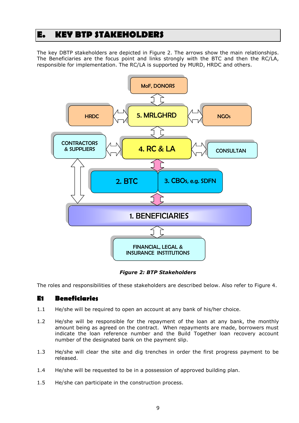# <span id="page-13-0"></span>**E. KEY BTP STAKEHOLDERS**

The key DBTP stakeholders are depicted in Figure 2. The arrows show the main relationships. The Beneficiaries are the focus point and links strongly with the BTC and then the RC/LA, responsible for implementation. The RC/LA is supported by MURD, HRDC and others.



*Figure 2: BTP Stakeholders*

The roles and responsibilities of these stakeholders are described below. Also refer to Figure 4.

### **E1 Beneficiaries**

- 1.1 He/she will be required to open an account at any bank of his/her choice.
- 1.2 He/she will be responsible for the repayment of the loan at any bank, the monthly amount being as agreed on the contract. When repayments are made, borrowers must indicate the loan reference number and the Build Together loan recovery account number of the designated bank on the payment slip.
- 1.3 He/she will clear the site and dig trenches in order the first progress payment to be released.
- 1.4 He/she will be requested to be in a possession of approved building plan.
- 1.5 He/she can participate in the construction process.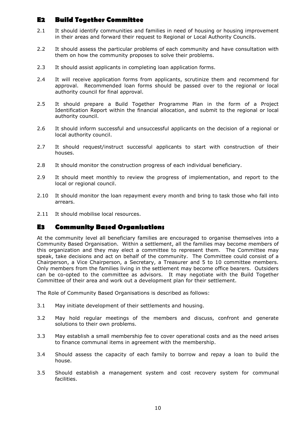# **E2 Build Together Committee**

- 2.1 It should identify communities and families in need of housing or housing improvement in their areas and forward their request to Regional or Local Authority Councils.
- 2.2 It should assess the particular problems of each community and have consultation with them on how the community proposes to solve their problems.
- 2.3 It should assist applicants in completing loan application forms.
- 2.4 It will receive application forms from applicants, scrutinize them and recommend for approval. Recommended loan forms should be passed over to the regional or local authority council for final approval.
- 2.5 It should prepare a Build Together Programme Plan in the form of a Project Identification Report within the financial allocation, and submit to the regional or local authority council.
- 2.6 It should inform successful and unsuccessful applicants on the decision of a regional or local authority council.
- 2.7 It should request/instruct successful applicants to start with construction of their houses.
- 2.8 It should monitor the construction progress of each individual beneficiary.
- 2.9 It should meet monthly to review the progress of implementation, and report to the local or regional council.
- 2.10 It should monitor the loan repayment every month and bring to task those who fall into arrears.
- 2.11 It should mobilise local resources.

### **E3 Community Based Organisations**

At the community level all beneficiary families are encouraged to organise themselves into a Community Based Organisation. Within a settlement, all the families may become members of this organization and they may elect a committee to represent them. The Committee may speak, take decisions and act on behalf of the community. The Committee could consist of a Chairperson, a Vice Chairperson, a Secretary, a Treasurer and 5 to 10 committee members. Only members from the families living in the settlement may become office bearers. Outsiders can be co-opted to the committee as advisors. It may negotiate with the Build Together Committee of their area and work out a development plan for their settlement.

The Role of Community Based Organisations is described as follows:

- 3.1 May initiate development of their settlements and housing.
- 3.2 May hold regular meetings of the members and discuss, confront and generate solutions to their own problems.
- 3.3 May establish a small membership fee to cover operational costs and as the need arises to finance communal items in agreement with the membership.
- 3.4 Should assess the capacity of each family to borrow and repay a loan to build the house.
- 3.5 Should establish a management system and cost recovery system for communal facilities.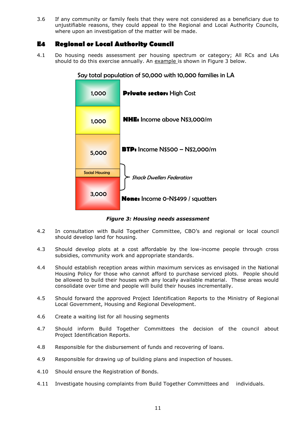3.6 If any community or family feels that they were not considered as a beneficiary due to unjustifiable reasons, they could appeal to the Regional and Local Authority Councils, where upon an investigation of the matter will be made.

# **E4 Regional or Local Authority Council**

4.1 Do housing needs assessment per housing spectrum or category; All RCs and LAs should to do this exercise annually. An example is shown in Figure 3 below.



Say total population of 50,000 with 10,000 families in LA

*Figure 3: Housing needs assessment*

- 4.2 In consultation with Build Together Committee, CBO's and regional or local council should develop land for housing.
- 4.3 Should develop plots at a cost affordable by the low-income people through cross subsidies, community work and appropriate standards.
- 4.4 Should establish reception areas within maximum services as envisaged in the National Housing Policy for those who cannot afford to purchase serviced plots. People should be allowed to build their houses with any locally available material. These areas would consolidate over time and people will build their houses incrementally.
- 4.5 Should forward the approved Project Identification Reports to the Ministry of Regional Local Government, Housing and Regional Development.
- 4.6 Create a waiting list for all housing segments
- 4.7 Should inform Build Together Committees the decision of the council about Project Identification Reports.
- 4.8 Responsible for the disbursement of funds and recovering of loans.
- 4.9 Responsible for drawing up of building plans and inspection of houses.
- 4.10 Should ensure the Registration of Bonds.
- 4.11 Investigate housing complaints from Build Together Committees and individuals.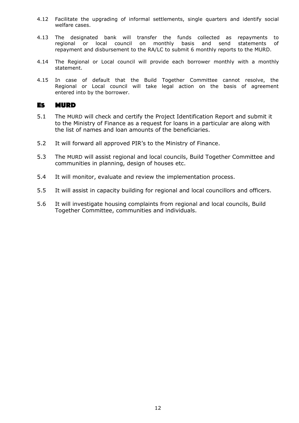- 4.12 Facilitate the upgrading of informal settlements, single quarters and identify social welfare cases.
- 4.13 The designated bank will transfer the funds collected as repayments to regional or local council on monthly basis and send statements of repayment and disbursement to the RA/LC to submit 6 monthly reports to the MURD.
- 4.14 The Regional or Local council will provide each borrower monthly with a monthly statement.
- 4.15 In case of default that the Build Together Committee cannot resolve, the Regional or Local council will take legal action on the basis of agreement entered into by the borrower.

### **E5 MURD**

- 5.1 The MURD will check and certify the Project Identification Report and submit it to the Ministry of Finance as a request for loans in a particular are along with the list of names and loan amounts of the beneficiaries.
- 5.2 It will forward all approved PIR's to the Ministry of Finance.
- 5.3 The MURD will assist regional and local councils, Build Together Committee and communities in planning, design of houses etc.
- 5.4 It will monitor, evaluate and review the implementation process.
- 5.5 It will assist in capacity building for regional and local councillors and officers.
- 5.6 It will investigate housing complaints from regional and local councils, Build Together Committee, communities and individuals.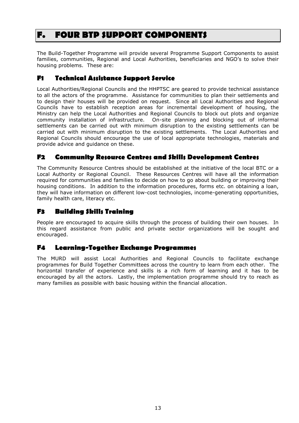# <span id="page-17-0"></span>**F. FOUR BTP SUPPORT COMPONENTS**

The Build-Together Programme will provide several Programme Support Components to assist families, communities, Regional and Local Authorities, beneficiaries and NGO's to solve their housing problems. These are:

# **F1 Technical Assistance Support Service**

Local Authorities/Regional Councils and the HHPTSC are geared to provide technical assistance to all the actors of the programme. Assistance for communities to plan their settlements and to design their houses will be provided on request. Since all Local Authorities and Regional Councils have to establish reception areas for incremental development of housing, the Ministry can help the Local Authorities and Regional Councils to block out plots and organize community installation of infrastructure. On-site planning and blocking out of informal settlements can be carried out with minimum disruption to the existing settlements can be carried out with minimum disruption to the existing settlements. The Local Authorities and Regional Councils should encourage the use of local appropriate technologies, materials and provide advice and guidance on these.

# **F2 Community Resource Centres and Skills Development Centres**

The Community Resource Centres should be established at the initiative of the local BTC or a Local Authority or Regional Council. These Resources Centres will have all the information required for communities and families to decide on how to go about building or improving their housing conditions. In addition to the information procedures, forms etc. on obtaining a loan, they will have information on different low-cost technologies, income-generating opportunities, family health care, literacy etc.

# **F3 Building Skills Training**

People are encouraged to acquire skills through the process of building their own houses. In this regard assistance from public and private sector organizations will be sought and encouraged.

# **F4 Learning-Together Exchange Programmes**

The MURD will assist Local Authorities and Regional Councils to facilitate exchange programmes for Build Together Committees across the country to learn from each other. The horizontal transfer of experience and skills is a rich form of learning and it has to be encouraged by all the actors. Lastly, the implementation programme should try to reach as many families as possible with basic housing within the financial allocation.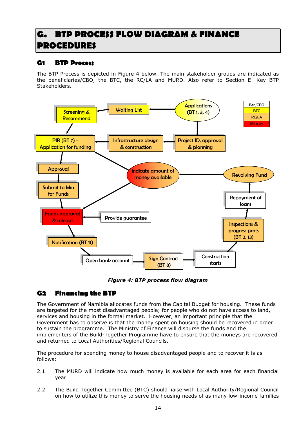# <span id="page-18-0"></span>**G. BTP PROCESS FLOW DIAGRAM & FINANCE PROCEDURES**

# **G1 BTP Process**

The BTP Process is depicted in Figure 4 below. The main stakeholder groups are indicated as the beneficiaries/CBO, the BTC, the RC/LA and MURD. Also refer to Section E: Key BTP Stakeholders.



*Figure 4: BTP process flow diagram*

# **G2 Financing the BTP**

The Government of Namibia allocates funds from the Capital Budget for housing. These funds are targeted for the most disadvantaged people; for people who do not have access to land, services and housing in the formal market. However, an important principle that the Government has to observe is that the money spent on housing should be recovered in order to sustain the programme. The Ministry of Finance will disburse the funds and the implementers of the Build-Together Programme have to ensure that the moneys are recovered and returned to Local Authorities/Regional Councils.

The procedure for spending money to house disadvantaged people and to recover it is as follows:

- 2.1 The MURD will indicate how much money is available for each area for each financial year.
- 2.2 The Build Together Committee (BTC) should liaise with Local Authority/Regional Council on how to utilize this money to serve the housing needs of as many low-income families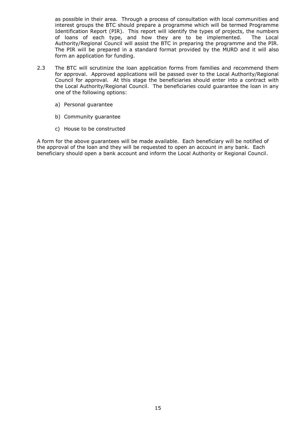as possible in their area. Through a process of consultation with local communities and interest groups the BTC should prepare a programme which will be termed Programme Identification Report (PIR). This report will identify the types of projects, the numbers of loans of each type, and how they are to be implemented. The Local Authority/Regional Council will assist the BTC in preparing the programme and the PIR. The PIR will be prepared in a standard format provided by the MURD and it will also form an application for funding.

- 2.3 The BTC will scrutinize the loan application forms from families and recommend them for approval. Approved applications will be passed over to the Local Authority/Regional Council for approval. At this stage the beneficiaries should enter into a contract with the Local Authority/Regional Council. The beneficiaries could guarantee the loan in any one of the following options:
	- a) Personal guarantee
	- b) Community guarantee
	- c) House to be constructed

A form for the above guarantees will be made available. Each beneficiary will be notified of the approval of the loan and they will be requested to open an account in any bank. Each beneficiary should open a bank account and inform the Local Authority or Regional Council.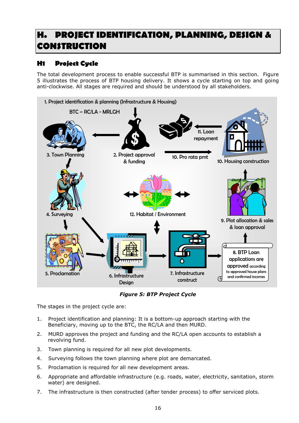# <span id="page-20-0"></span>**H. PROJECT IDENTIFICATION, PLANNING, DESIGN & CONSTRUCTION**

# **H1 Project Cycle**

The total development process to enable successful BTP is summarised in this section. Figure 5 illustrates the process of BTP housing delivery. It shows a cycle starting on top and going anti-clockwise. All stages are required and should be understood by all stakeholders.



*Figure 5: BTP Project Cycle*

The stages in the project cycle are:

- 1. Project identification and planning: It is a bottom-up approach starting with the Beneficiary, moving up to the BTC, the RC/LA and then MURD.
- 2. MURD approves the project and funding and the RC/LA open accounts to establish a revolving fund.
- 3. Town planning is required for all new plot developments.
- 4. Surveying follows the town planning where plot are demarcated.
- 5. Proclamation is required for all new development areas.
- 6. Appropriate and affordable infrastructure (e.g. roads, water, electricity, sanitation, storm water) are designed.
- 7. The infrastructure is then constructed (after tender process) to offer serviced plots.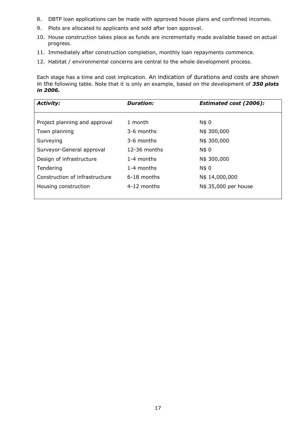- 8. DBTP loan applications can be made with approved house plans and confirmed incomes.
- 9. Plots are allocated to applicants and sold after loan approval.
- 10. House construction takes place as funds are incrementally made available based on actual progress.
- 11. Immediately after construction completion, monthly loan repayments commence.
- 12. Habitat / environmental concerns are central to the whole development process.

Each stage has a time and cost implication. An indication of durations and costs are shown in the following table. Note that it is only an example, based on the development of *350 plots in 2006.* 

| <b>Activity:</b>               | <b>Duration:</b> | <b>Estimated cost (2006):</b> |  |
|--------------------------------|------------------|-------------------------------|--|
|                                |                  |                               |  |
| Project planning and approval  | 1 month          | N\$ 0                         |  |
| Town planning                  | 3-6 months       | N\$ 300,000                   |  |
| Surveying                      | 3-6 months       | N\$ 300,000                   |  |
| Surveyor-General approval      | $12-36$ months   | N\$ 0                         |  |
| Design of infrastructure       | 1-4 months       | N\$ 300,000                   |  |
| Tendering                      | 1-4 months       | N\$ 0                         |  |
| Construction of infrastructure | $6-18$ months    | N\$ 14,000,000                |  |
| Housing construction           | 4-12 months      | N\$ 35,000 per house          |  |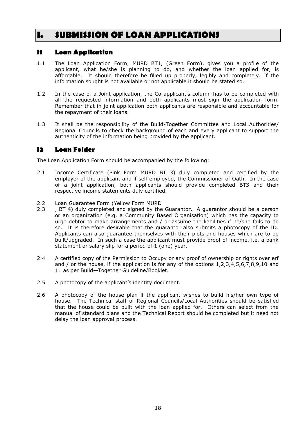# <span id="page-22-0"></span>**I. SUBMISSION OF LOAN APPLICATIONS**

# **I1 Loan Application**

- 1.1 The Loan Application Form, MURD BT1, (Green Form), gives you a profile of the applicant, what he/she is planning to do, and whether the loan applied for, is affordable. It should therefore be filled up properly, legibly and completely. If the information sought is not available or not applicable it should be stated so.
- 1.2 In the case of a Joint-application, the Co-applicant's column has to be completed with all the requested information and both applicants must sign the application form. Remember that in joint application both applicants are responsible and accountable for the repayment of their loans.
- 1.3 It shall be the responsibility of the Build-Together Committee and Local Authorities/ Regional Councils to check the background of each and every applicant to support the authenticity of the information being provided by the applicant.

# **I2 Loan Folder**

The Loan Application Form should be accompanied by the following:

- 2.1 Income Certificate (Pink Form MURD BT 3) duly completed and certified by the employer of the applicant and if self employed, the Commissioner of Oath. In the case of a joint application, both applicants should provide completed BT3 and their respective income statements duly certified.
- 2.2 Loan Guarantee Form (Yellow Form MURD
- 2.3 , BT 4) duly completed and signed by the Guarantor. A guarantor should be a person or an organization (e.g. a Community Based Organisation) which has the capacity to urge debtor to make arrangements and / or assume the liabilities if he/she fails to do so. It is therefore desirable that the guarantor also submits a photocopy of the ID. Applicants can also guarantee themselves with their plots and houses which are to be built/upgraded. In such a case the applicant must provide proof of income, i.e. a bank statement or salary slip for a period of 1 (one) year.
- 2.4 A certified copy of the Permission to Occupy or any proof of ownership or rights over erf and / or the house, if the application is for any of the options 1,2,3,4,5,6,7,8,9,10 and 11 as per Build—Together Guideline/Booklet.
- 2.5 A photocopy of the applicant's identity document.
- 2.6 A photocopy of the house plan if the applicant wishes to build his/her own type of house. The Technical staff of Regional Councils/Local Authorities should be satisfied that the house could be built with the loan applied for. Others can select from the manual of standard plans and the Technical Report should be completed but it need not delay the loan approval process.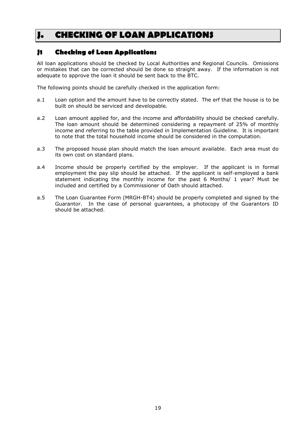# <span id="page-23-0"></span>**J. CHECKING OF LOAN APPLICATIONS**

# **J1 Checking of Loan Applications**

All loan applications should be checked by Local Authorities and Regional Councils. Omissions or mistakes that can be corrected should be done so straight away. If the information is not adequate to approve the loan it should be sent back to the BTC.

The following points should be carefully checked in the application form:

- a.1 Loan option and the amount have to be correctly stated. The erf that the house is to be built on should be serviced and developable.
- a.2 Loan amount applied for, and the income and affordability should be checked carefully. The loan amount should be determined considering a repayment of 25% of monthly income and referring to the table provided in Implementation Guideline. It is important to note that the total household income should be considered in the computation.
- a.3 The proposed house plan should match the loan amount available. Each area must do its own cost on standard plans.
- a.4 Income should be properly certified by the employer. If the applicant is in formal employment the pay slip should be attached. If the applicant is self-employed a bank statement indicating the monthly income for the past 6 Months/ 1 year? Must be included and certified by a Commissioner of Oath should attached.
- a.5 The Loan Guarantee Form (MRGH-BT4) should be properly completed and signed by the Guarantor. In the case of personal guarantees, a photocopy of the Guarantors ID should be attached.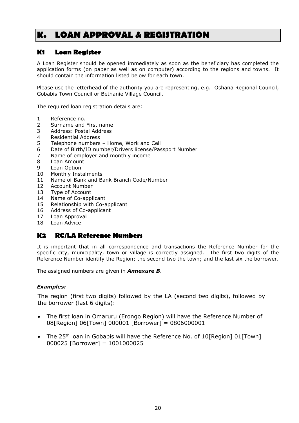# <span id="page-24-0"></span>**K. LOAN APPROVAL & REGISTRATION**

# **K1 Loan Register**

A Loan Register should be opened immediately as soon as the beneficiary has completed the application forms (on paper as well as on computer) according to the regions and towns. It should contain the information listed below for each town.

Please use the letterhead of the authority you are representing, e.g. Oshana Regional Council, Gobabis Town Council or Bethanie Village Council.

The required loan registration details are:

- 1 Reference no.
- 2 Surname and First name
- 3 Address: Postal Address
- 4 Residential Address
- 5 Telephone numbers Home, Work and Cell
- 6 Date of Birth/ID number/Drivers license/Passport Number
- 7 Name of employer and monthly income
- 8 Loan Amount
- 9 Loan Option
- 10 Monthly Instalments
- 11 Name of Bank and Bank Branch Code/Number
- 12 Account Number
- 13 Type of Account
- 14 Name of Co-applicant
- 15 Relationship with Co-applicant
- 16 Address of Co-applicant
- 17 Loan Approval
- 18 Loan Advice

# **K2 RC/LA Reference Numbers**

It is important that in all correspondence and transactions the Reference Number for the specific city, municipality, town or village is correctly assigned. The first two digits of the Reference Number identify the Region; the second two the town; and the last six the borrower.

The assigned numbers are given in *Annexure B*.

### *Examples:*

The region (first two digits) followed by the LA (second two digits), followed by the borrower (last 6 digits):

- The first loan in Omaruru (Erongo Region) will have the Reference Number of 08[Region] 06[Town] 000001 [Borrower] = 0806000001
- The 25<sup>th</sup> loan in Gobabis will have the Reference No. of  $10$ [Region] 01[Town] 000025 [Borrower] = 1001000025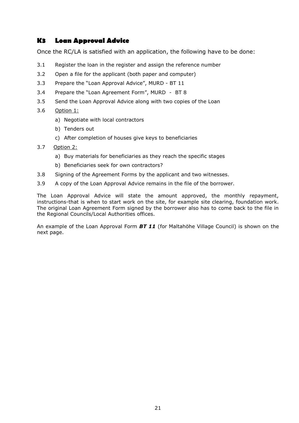# **K3 Loan Approval Advice**

Once the RC/LA is satisfied with an application, the following have to be done:

- 3.1 Register the loan in the register and assign the reference number
- 3.2 Open a file for the applicant (both paper and computer)
- 3.3 Prepare the "Loan Approval Advice", MURD BT 11
- 3.4 Prepare the "Loan Agreement Form", MURD BT 8
- 3.5 Send the Loan Approval Advice along with two copies of the Loan
- 3.6 Option 1:
	- a) Negotiate with local contractors
	- b) Tenders out
	- c) After completion of houses give keys to beneficiaries
- 3.7 Option 2:
	- a) Buy materials for beneficiaries as they reach the specific stages
	- b) Beneficiaries seek for own contractors?
- 3.8 Signing of the Agreement Forms by the applicant and two witnesses.
- 3.9 A copy of the Loan Approval Advice remains in the file of the borrower.

The Loan Approval Advice will state the amount approved, the monthly repayment, instructions-that is when to start work on the site, for example site clearing, foundation work. The original Loan Agreement Form signed by the borrower also has to come back to the file in the Regional Councils/Local Authorities offices.

An example of the Loan Approval Form *BT 11* (for Maltahöhe Village Council) is shown on the next page.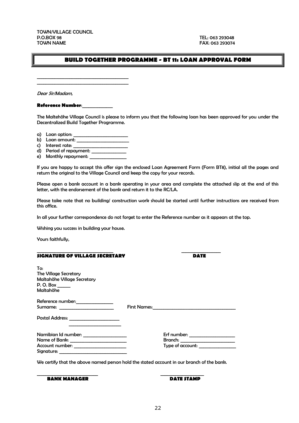TOWN/VILLAGE COUNCIL P.O.BOX 98 TEL: 063 293048<br>TOWN NAME TOWN NAME

FAX: 063 293074

### **BUILD TOGETHER PROGRAMME - BT 11: LOAN APPROVAL FORM**

Dear Sir/Madam,

**Reference Number**:\_\_\_\_\_\_\_\_\_\_\_\_\_\_

\_\_\_\_\_\_\_\_\_\_\_\_\_\_\_\_\_\_\_\_\_\_\_\_\_\_\_\_\_\_\_\_\_\_\_\_\_\_\_\_\_\_ \_\_\_\_\_\_\_\_\_\_\_\_\_\_\_\_\_\_\_\_\_\_\_\_\_\_\_\_\_\_\_\_\_\_\_\_\_\_\_\_\_\_

The Maltehöhe Village Council is please to inform you that the following loan has been approved for you under the Decentralized Build Together Programme.

- a) Loan option:
- b) Loan amount:
- c) Interest rate:
- d) Period of repayment:
- e) Monthly repayment:

If you are happy to accept this offer sign the enclosed Loan Agreement Form (Form BT8), initial all the pages and return the original to the Village Council and keep the copy for your records.

Please open a bank account in a bank operating in your area and complete the attached slip at the end of this letter, with the endorsement of the bank and return it to the RC/LA.

Please take note that no building/ construction work should be started until further instructions are received from this office.

In all your further correspondence do not forget to enter the Reference number as it appears at the top.

Wishing you success in building your house.

Yours faithfully,

| Erf number:      |
|------------------|
|                  |
| Type of account: |
|                  |

\_\_\_\_\_\_\_\_\_\_\_\_\_\_\_\_\_\_\_\_\_\_\_\_\_\_\_\_\_\_\_\_\_\_\_ \_\_\_\_\_\_\_\_\_\_\_\_\_\_\_\_\_\_

We certify that the above named person hold the stated account in our branch of the bank.

 $\overline{\phantom{a}}$  , and the contract of the contract of the contract of the contract of the contract of the contract of the contract of the contract of the contract of the contract of the contract of the contract of the contrac

**BANK MANAGER DATE STAMP**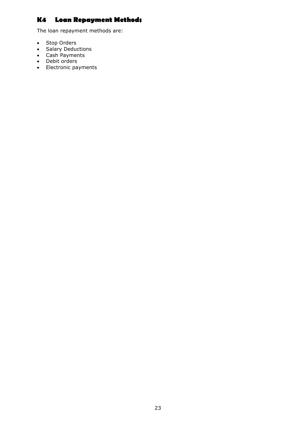# **K4 Loan Repayment Methods**

The loan repayment methods are:

- Stop Orders
- Salary Deductions
- Cash Payments
- Debit orders
- Electronic payments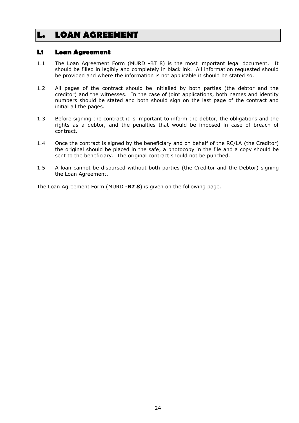# <span id="page-28-0"></span>**L. LOAN AGREEMENT**

### **L1 Loan Agreement**

- 1.1 The Loan Agreement Form (MURD -BT 8) is the most important legal document. It should be filled in legibly and completely in black ink. All information requested should be provided and where the information is not applicable it should be stated so.
- 1.2 All pages of the contract should be initialled by both parties (the debtor and the creditor) and the witnesses. In the case of joint applications, both names and identity numbers should be stated and both should sign on the last page of the contract and initial all the pages.
- 1.3 Before signing the contract it is important to inform the debtor, the obligations and the rights as a debtor, and the penalties that would be imposed in case of breach of contract.
- 1.4 Once the contract is signed by the beneficiary and on behalf of the RC/LA (the Creditor) the original should be placed in the safe, a photocopy in the file and a copy should be sent to the beneficiary. The original contract should not be punched.
- 1.5 A loan cannot be disbursed without both parties (the Creditor and the Debtor) signing the Loan Agreement.

The Loan Agreement Form (MURD -*BT 8*) is given on the following page.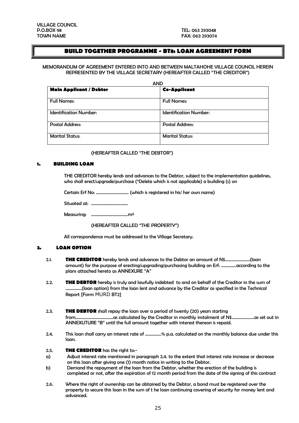### **BUILD TOGETHER PROGRAMME - BT8: LOAN AGREEMENT FORM**

#### MEMORANDUM OF AGREEMENT ENTERED INTO AND BETWEEN MALTAHOHE VILLAGE COUNCIL HEREIN REPRESENTED BY THE VILLAGE SECRETARY (HEREAFTER CALLED "THE CREDITOR")

| <b>AND</b>                     |                               |  |  |  |
|--------------------------------|-------------------------------|--|--|--|
| <b>Main Applicant / Debtor</b> | <b>Co-Applicant</b>           |  |  |  |
| <b>Full Names:</b>             | <b>Full Names:</b>            |  |  |  |
| <b>Identification Number:</b>  | <b>Identification Number:</b> |  |  |  |
| <b>Postal Address:</b>         | <b>Postal Address:</b>        |  |  |  |
| <b>Marital Status:</b>         | <b>Marital Status:</b>        |  |  |  |

#### (HEREAFTER CALLED "THE DEBTOR")

#### **1. BUILDING LOAN**

THE CREDITOR hereby lends and advances to the Debtor, subject to the implementation guidelines, who shall erect/upgrade/purchase (\*Delete which is not applicable) a building (s) on

Certain Erf No: ………………………… (which is registered in his/ her own name)

Situated at: …………………………….

Measuring: …………………………….m²

#### (HEREAFTER CALLED "THE PROPERTY")

All correspondence must be addressed to the Village Secretary.

#### **2. LOAN OPTION**

- 2.1. **THE CREDITOR** hereby lends and advances to the Debtor an amount of N\$.......................(loan amount) for the purpose of erecting/upgrading/purchasing building on Erf: …………..according to the plans attached hereto as ANNEXURE "A"
- 2.2. **THE DEBTOR** hereby is truly and lawfully indebted to and on behalf of the Creditor in the sum of ……………(loan option) from the loan lent and advance by the Creditor as specified in the Technical Report {Form MURD BT2}
- 2.3. **THE DEBTOR** shall repay the loan over a period of twenty (20) years starting from……………………………..as calculated by the Creditor in monthly instalment of N\$.....................as set out in ANNEXUTURE "B" until the full amount together with interest thereon is repaid.
- 2.4. This loan shall carry an interest rate of ……………% p.a. calculated on the monthly balance due under this loan.

#### 2.5. **THE CREDITOR** has the right to:-

- a) Adjust interest rate mentioned in paragraph 2.4. to the extent that interest rate increase or decrease on this loan after giving one (1) month notice in writing to the Debtor.
- b) Demand the repayment of the loan from the Debtor, whether the erection of the building is completed or not, after the expiration of 12 month period from the date of the signing of this contract
- 2.6. Where the right of ownership can be obtained by the Debtor, a bond must be registered over the property to secure this loan in the sum of t he loan continuing covering of security for money lent and advanced.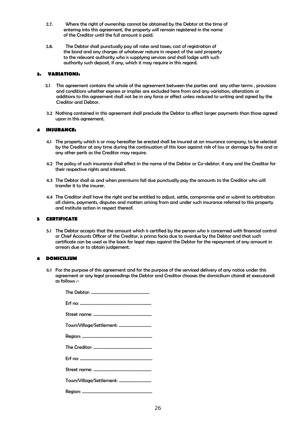- 2.7. Where the right of ownership cannot be obtained by the Debtor at the time of entering into this agreement, the property will remain registered in the name of the Creditor until the full amount is paid.
- 2.8. The Debtor shall punctually pay all rates and taxes, cost of registration of the bond and any charges of whatever nature in respect of the said property to the relevant authority who is supplying services and shall lodge with such authority such deposit, if any, which it may require in this regard.

#### **3. VARIATIONS:**

- 3.1 This agreement contains the whole of the agreement between the parties and any other terms , provisions and conditions whether express or implies are excluded here from and any variation, alterations or additions to this agreement shall not be in any force or effect unless reduced to writing and signed by the Creditor and Debtor.
- 3.2 Nothing contained in this agreement shall preclude the Debtor to effect larger payments than those agreed upon in this agreement.

#### **4 INSURANCE:**

- 4.1 The property which is or may hereafter be erected shall be insured at an insurance company, to be selected by the Creditor at any time during the continuation of this loan against risk of loss or damage by fire and or any other perils as the Creditor may require.
- 4.2 The policy of such insurance shall effect in the name of the Debtor or Co-debtor, if any and the Creditor for their respective rights and interest.
- 4.3 The Debtor shall as and when premiums fall due punctually pay the amounts to the Creditor who will transfer it to the insurer.
- 4.4 The Creditor shall have the right and be entitled to adjust, settle, compromise and or submit to arbitration all claims, payments, disputes and matters arising from and under such insurance referred to this property and institute action in respect thereof.

#### **5 CERTIFICATE**

5.1 The Debtor accepts that the amount which is certified by the person who is concerned with financial control or Chief Accounts Officer of the Creditor, is prima facia due to overdue by the Debtor and that such certificate can be used as the basis for legal steps against the Debtor for the repayment of any amount in arrears due or to obtain judgement.

#### **6 DOMICILIUM**

6.1 For the purpose of this agreement and for the purpose of the serviced delivery of any notice under this agreement or any legal proceedings the Debtor and Creditor chooses the domicilium citandi et executandi as follows :-

| Town/Village/Settlement: |
|--------------------------|
|                          |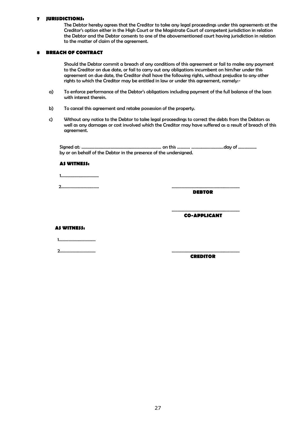#### **7 JURISDICTIONS:**

The Debtor hereby agrees that the Creditor to take any legal proceedings under this agreements at the Creditor's option either in the High Court or the Magistrate Court of competent jurisdiction in relation the Debtor and the Debtor consents to one of the abovementioned court having jurisdiction in relation to the matter of claim of the agreement.

#### **8 BREACH OF CONTRACT**

Should the Debtor commit a breach of any conditions of this agreement or fail to make any payment to the Creditor on due date, or fail to carry out any obligations incumbent on him/her under this agreement on due date, the Creditor shall have the following rights, without prejudice to any other rights to which the Creditor may be entitled in law or under this agreement, namely:-

- a) To enforce performance of the Debtor's obligations including payment of the full balance of the loan with interest therein.
- b) To cancel this agreement and retake possession of the property.
- c) Without any notice to the Debtor to take legal proceedings to correct the debts from the Debtors as well as any damages or cost involved which the Creditor may have suffered as a result of breach of this agreement.

 Signed at: ……………………………………………………………….. on this ………… …………………………day of …………….. by or on behalf of the Debtor in the presence of the undersigned.

#### **AS WITNESS:**

1……………………………..

2…………………………….. ………………………………………………………

 **DEBTOR**

 **CO-APPLICANT**

………………………………………………………

#### **AS WITNESS:**

1…………………………….

2…………………………… ………………………………………………………

 **CREDITOR**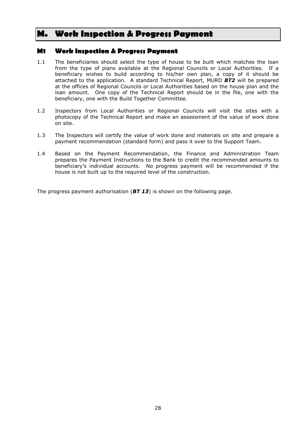# <span id="page-32-0"></span>**M. Work Inspection & Progress Payment**

### **M1 Work Inspection & Progress Payment**

- 1.1 The beneficiaries should select the type of house to be built which matches the loan from the type of plans available at the Regional Councils or Local Authorities. If a beneficiary wishes to build according to his/her own plan, a copy of it should be attached to the application. A standard Technical Report, MURD *BT2* will be prepared at the offices of Regional Councils or Local Authorities based on the house plan and the loan amount. One copy of the Technical Report should be in the file, one with the beneficiary, one with the Build Together Committee.
- 1.2 Inspectors from Local Authorities or Regional Councils will visit the sites with a photocopy of the Technical Report and make an assessment of the value of work done on site.
- 1.3 The Inspectors will certify the value of work done and materials on site and prepare a payment recommendation (standard form) and pass it over to the Support Team.
- 1.4 Based on the Payment Recommendation, the Finance and Administration Team prepares the Payment Instructions to the Bank to credit the recommended amounts to beneficiary's individual accounts. No progress payment will be recommended if the house is not built up to the required level of the construction.

The progress payment authorisation (*BT 13*) is shown on the following page.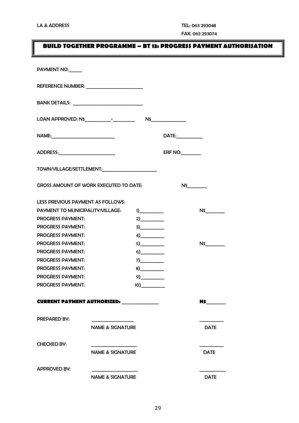# **BUILD TOGETHER PROGRAMME – BT 13: PROGRESS PAYMENT AUTHORISATION**

| PAYMENT NO:                             |                                               |     |                   |                       |
|-----------------------------------------|-----------------------------------------------|-----|-------------------|-----------------------|
|                                         |                                               |     |                   |                       |
|                                         |                                               |     |                   |                       |
|                                         |                                               |     |                   |                       |
|                                         |                                               |     | DATE:____________ |                       |
|                                         |                                               |     | ERF NO:           |                       |
|                                         | TOWN/VILLAGE/SETTLEMENT:                      |     |                   |                       |
|                                         | <b>GROSS AMOUNT OF WORK EXECUTED TO DATE:</b> |     | N\$               |                       |
| LESS PREVIOUS PAYMENT AS FOLLOWS:       |                                               |     |                   |                       |
| <b>PAYMENT TO MUNICIPALITY/VILLAGE:</b> |                                               | 1)  |                   | $N\$                  |
| <b>PROGRESS PAYMENT:</b>                |                                               | 2)  |                   |                       |
| <b>PROGRESS PAYMENT:</b>                |                                               | 3)  |                   |                       |
| <b>PROGRESS PAYMENT:</b>                |                                               | 4)  |                   |                       |
| <b>PROGRESS PAYMENT:</b>                |                                               | 5)  |                   | N\$                   |
| <b>PROGRESS PAYMENT:</b>                |                                               |     |                   |                       |
| <b>PROGRESS PAYMENT:</b>                |                                               | 7)  |                   |                       |
| <b>PROGRESS PAYMENT:</b>                |                                               | 8)  |                   |                       |
| <b>PROGRESS PAYMENT:</b>                |                                               |     |                   |                       |
| <b>PROGRESS PAYMENT:</b>                |                                               | 10) |                   |                       |
|                                         | <b>CURRENT PAYMENT AUTHORIZED:</b>            |     |                   | N\$ <sub>contra</sub> |
| <b>PREPARED BY:</b>                     |                                               |     |                   |                       |
|                                         | <b>NAME &amp; SIGNATURE</b>                   |     |                   | <b>DATE</b>           |
| <b>CHECKED BY:</b>                      |                                               |     |                   |                       |
|                                         | <b>NAME &amp; SIGNATURE</b>                   |     |                   | <b>DATE</b>           |
| <b>APPROVED BY:</b>                     |                                               |     |                   |                       |
|                                         | <b>NAME &amp; SIGNATURE</b>                   |     |                   | <b>DATE</b>           |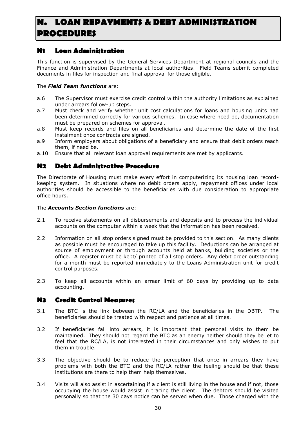# <span id="page-34-0"></span>**N. LOAN REPAYMENTS & DEBT ADMINISTRATION PROCEDURES**

# **N1 Loan Administration**

This function is supervised by the General Services Department at regional councils and the Finance and Administration Departments at local authorities. Field Teams submit completed documents in files for inspection and final approval for those eligible.

### The *Field Team functions* are:

- a.6 The Supervisor must exercise credit control within the authority limitations as explained under arrears follow-up steps.
- a.7 Must check and verify whether unit cost calculations for loans and housing units had been determined correctly for various schemes. In case where need be, documentation must be prepared on schemes for approval.
- a.8 Must keep records and files on all beneficiaries and determine the date of the first instalment once contracts are signed.
- a.9 Inform employers about obligations of a beneficiary and ensure that debit orders reach them, if need be.
- a.10 Ensure that all relevant loan approval requirements are met by applicants.

# **N2 Debt Administrative Procedure**

The Directorate of Housing must make every effort in computerizing its housing loan recordkeeping system. In situations where no debit orders apply, repayment offices under local authorities should be accessible to the beneficiaries with due consideration to appropriate office hours.

### The *Accounts Section functions* are:

- 2.1 To receive statements on all disbursements and deposits and to process the individual accounts on the computer within a week that the information has been received.
- 2.2 Information on all stop orders signed must be provided to this section. As many clients as possible must be encouraged to take up this facility. Deductions can be arranged at source of employment or through accounts held at banks, building societies or the office. A register must be kept/ printed of all stop orders. Any debit order outstanding for a month must be reported immediately to the Loans Administration unit for credit control purposes.
- 2.3 To keep all accounts within an arrear limit of 60 days by providing up to date accounting.

# **N3 Credit Control Measures**

- 3.1 The BTC is the link between the RC/LA and the beneficiaries in the DBTP. The beneficiaries should be treated with respect and patience at all times.
- 3.2 If beneficiaries fall into arrears, it is important that personal visits to them be maintained. They should not regard the BTC as an enemy neither should they be let to feel that the RC/LA, is not interested in their circumstances and only wishes to put them in trouble.
- 3.3 The objective should be to reduce the perception that once in arrears they have problems with both the BTC and the RC/LA rather the feeling should be that these institutions are there to help them help themselves.
- 3.4 Visits will also assist in ascertaining if a client is still living in the house and if not, those occupying the house would assist in tracing the client. The debtors should be visited personally so that the 30 days notice can be served when due. Those charged with the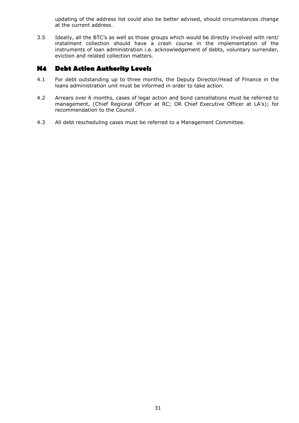updating of the address list could also be better advised, should circumstances change at the current address.

3.5 Ideally, all the BTC's as well as those groups which would be directly involved with rent/ instalment collection should have a crash course in the implementation of the instruments of loan administration i.e. acknowledgement of debts, voluntary surrender, eviction and related collection matters.

### **N4 Debt Action Authority Levels**

- 4.1 For debt outstanding up to three months, the Deputy Director/Head of Finance in the loans administration unit must be informed in order to take action.
- 4.2 Arrears over 6 months, cases of legal action and bond cancellations must be referred to management, (Chief Regional Officer at RC; OR Chief Executive Officer at LA's); for recommendation to the Council.
- 4.3 All debt rescheduling cases must be referred to a Management Committee.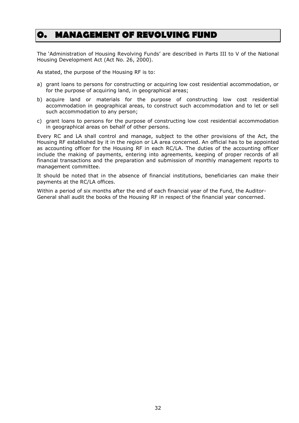# <span id="page-36-0"></span>**O. MANAGEMENT OF REVOLVING FUND**

The 'Administration of Housing Revolving Funds' are described in Parts III to V of the National Housing Development Act (Act No. 26, 2000).

As stated, the purpose of the Housing RF is to:

- a) grant loans to persons for constructing or acquiring low cost residential accommodation, or for the purpose of acquiring land, in geographical areas;
- b) acquire land or materials for the purpose of constructing low cost residential accommodation in geographical areas, to construct such accommodation and to let or sell such accommodation to any person;
- c) grant loans to persons for the purpose of constructing low cost residential accommodation in geographical areas on behalf of other persons.

Every RC and LA shall control and manage, subject to the other provisions of the Act, the Housing RF established by it in the region or LA area concerned. An official has to be appointed as accounting officer for the Housing RF in each RC/LA. The duties of the accounting officer include the making of payments, entering into agreements, keeping of proper records of all financial transactions and the preparation and submission of monthly management reports to management committee.

It should be noted that in the absence of financial institutions, beneficiaries can make their payments at the RC/LA offices.

Within a period of six months after the end of each financial year of the Fund, the Auditor-General shall audit the books of the Housing RF in respect of the financial year concerned.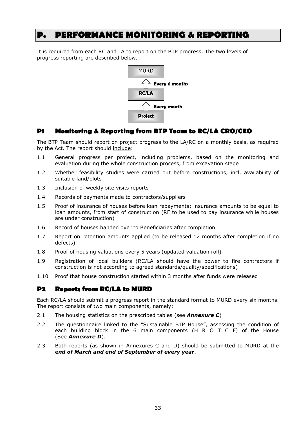# <span id="page-37-0"></span>**P. PERFORMANCE MONITORING & REPORTING**

It is required from each RC and LA to report on the BTP progress. The two levels of progress reporting are described below.



# **P1 Monitoring & Reporting from BTP Team to RC/LA CRO/CEO**

The BTP Team should report on project progress to the LA/RC on a monthly basis, as required by the Act. The report should include:

- 1.1 General progress per project, including problems, based on the monitoring and evaluation during the whole construction process, from excavation stage
- 1.2 Whether feasibility studies were carried out before constructions, incl. availability of suitable land/plots
- 1.3 Inclusion of weekly site visits reports
- 1.4 Records of payments made to contractors/suppliers
- 1.5 Proof of insurance of houses before loan repayments; insurance amounts to be equal to loan amounts, from start of construction (RF to be used to pay insurance while houses are under construction)
- 1.6 Record of houses handed over to Beneficiaries after completion
- 1.7 Report on retention amounts applied (to be released 12 months after completion if no defects)
- 1.8 Proof of housing valuations every 5 years (updated valuation roll)
- 1.9 Registration of local builders (RC/LA should have the power to fire contractors if construction is not according to agreed standards/quality/specifications)
- 1.10 Proof that house construction started within 3 months after funds were released

# **P2 Reports from RC/LA to MURD**

Each RC/LA should submit a progress report in the standard format to MURD every six months. The report consists of two main components, namely:

- 2.1 The housing statistics on the prescribed tables (see *Annexure C*)
- 2.2 The questionnaire linked to the "Sustainable BTP House", assessing the condition of each building block in the 6 main components (H R O T C F) of the House (See *Annexure D*).
- 2.3 Both reports (as shown in Annexures C and D) should be submitted to MURD at the *end of March and end of September of every year*.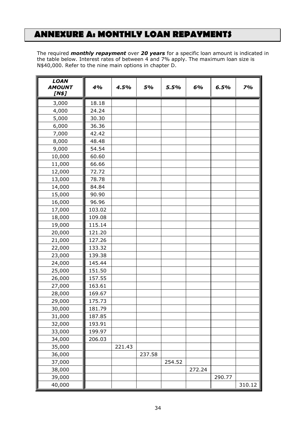# <span id="page-38-0"></span>**ANNEXURE A: MONTHLY LOAN REPAYMENTS**

The required *monthly repayment* over *20 years* for a specific loan amount is indicated in the table below. Interest rates of between 4 and 7% apply. The maximum loan size is N\$40,000. Refer to the nine main options in chapter D.

| <b>LOAN</b><br><b>AMOUNT</b><br>[N\$] | 4%     | 4.5%   | 5%     | 5.5%   | 6%     | 6.5%   | 7%     |
|---------------------------------------|--------|--------|--------|--------|--------|--------|--------|
| 3,000                                 | 18.18  |        |        |        |        |        |        |
| 4,000                                 | 24.24  |        |        |        |        |        |        |
| 5,000                                 | 30.30  |        |        |        |        |        |        |
| 6,000                                 | 36.36  |        |        |        |        |        |        |
| 7,000                                 | 42.42  |        |        |        |        |        |        |
| 8,000                                 | 48.48  |        |        |        |        |        |        |
| 9,000                                 | 54.54  |        |        |        |        |        |        |
| 10,000                                | 60.60  |        |        |        |        |        |        |
| 11,000                                | 66.66  |        |        |        |        |        |        |
| 12,000                                | 72.72  |        |        |        |        |        |        |
| 13,000                                | 78.78  |        |        |        |        |        |        |
| 14,000                                | 84.84  |        |        |        |        |        |        |
| 15,000                                | 90.90  |        |        |        |        |        |        |
| 16,000                                | 96.96  |        |        |        |        |        |        |
| 17,000                                | 103.02 |        |        |        |        |        |        |
| 18,000                                | 109.08 |        |        |        |        |        |        |
| 19,000                                | 115.14 |        |        |        |        |        |        |
| 20,000                                | 121.20 |        |        |        |        |        |        |
| 21,000                                | 127.26 |        |        |        |        |        |        |
| 22,000                                | 133.32 |        |        |        |        |        |        |
| 23,000                                | 139.38 |        |        |        |        |        |        |
| 24,000                                | 145.44 |        |        |        |        |        |        |
| 25,000                                | 151.50 |        |        |        |        |        |        |
| 26,000                                | 157.55 |        |        |        |        |        |        |
| 27,000                                | 163.61 |        |        |        |        |        |        |
| 28,000                                | 169.67 |        |        |        |        |        |        |
| 29,000                                | 175.73 |        |        |        |        |        |        |
| 30,000                                | 181.79 |        |        |        |        |        |        |
| 31,000                                | 187.85 |        |        |        |        |        |        |
| 32,000                                | 193.91 |        |        |        |        |        |        |
| 33,000                                | 199.97 |        |        |        |        |        |        |
| 34,000                                | 206.03 |        |        |        |        |        |        |
| 35,000                                |        | 221.43 |        |        |        |        |        |
| 36,000                                |        |        | 237.58 |        |        |        |        |
| 37,000                                |        |        |        | 254.52 |        |        |        |
| 38,000                                |        |        |        |        | 272.24 |        |        |
| 39,000                                |        |        |        |        |        | 290.77 |        |
| 40,000                                |        |        |        |        |        |        | 310.12 |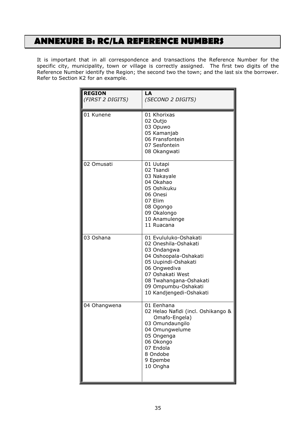# <span id="page-39-0"></span>**ANNEXURE B: RC/LA REFERENCE NUMBERS**

It is important that in all correspondence and transactions the Reference Number for the specific city, municipality, town or village is correctly assigned. The first two digits of the Reference Number identify the Region; the second two the town; and the last six the borrower. Refer to Section K2 for an example.

| <b>REGION</b><br>(FIRST 2 DIGITS) | LA<br>(SECOND 2 DIGITS)                                                                                                                                                                                                      |
|-----------------------------------|------------------------------------------------------------------------------------------------------------------------------------------------------------------------------------------------------------------------------|
| 01 Kunene                         | 01 Khorixas<br>02 Outjo<br>03 Opuwo<br>05 Kamanjab<br>06 Fransfontein<br>07 Sesfontein<br>08 Okangwati                                                                                                                       |
| 02 Omusati                        | 01 Uutapi<br>02 Tsandi<br>03 Nakayale<br>04 Okahao<br>05 Oshikuku<br>06 Onesi<br>07 Elim<br>08 Ogongo<br>09 Okalongo<br>10 Anamulenge<br>11 Ruacana                                                                          |
| 03 Oshana                         | 01 Evululuko-Oshakati<br>02 Oneshila-Oshakati<br>03 Ondangwa<br>04 Oshoopala-Oshakati<br>05 Uupindi-Oshakati<br>06 Ongwediva<br>07 Oshakati West<br>08 Twahangana-Oshakati<br>09 Ompumbu-Oshakati<br>10 Kandjengedi-Oshakati |
| 04 Ohangwena                      | 01 Eenhana<br>02 Helao Nafidi (incl. Oshikango &<br>Omafo-Engela)<br>03 Omundaungilo<br>04 Omungwelume<br>05 Ongenga<br>06 Okongo<br>07 Endola<br>8 Ondobe<br>9 Epembe<br>10 Ongha                                           |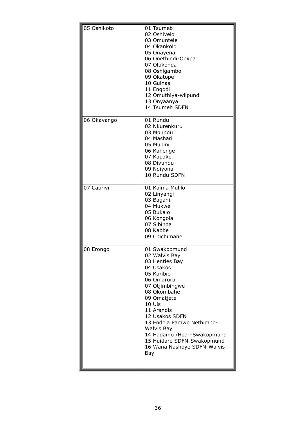| 05 Oshikoto | 01 Tsumeb<br>02 Oshivelo<br>03 Omuntele<br>04 Okankolo<br>05 Onayena<br>06 Onethindi-Oniipa<br>07 Olukonda<br>08 Oshigambo<br>09 Okatope<br>10 Guinas<br>11 Engodi<br>12 Omuthiya-wiipundi<br>13 Onyaanya<br>14 Tsumeb SDFN                                                                                                        |
|-------------|------------------------------------------------------------------------------------------------------------------------------------------------------------------------------------------------------------------------------------------------------------------------------------------------------------------------------------|
| 06 Okavango | 01 Rundu<br>02 Nkurenkuru<br>03 Mpungu<br>04 Mashari<br>05 Mupini<br>06 Kahenge<br>07 Kapako<br>08 Divundu<br>09 Ndiyona<br>10 Rundu SDFN                                                                                                                                                                                          |
| 07 Caprivi  | 01 Kaima Mulilo<br>02 Linyangi<br>03 Bagani<br>04 Mukwe<br>05 Bukalo<br>06 Kongola<br>07 Sibinda<br>08 Kabbe<br>09 Chichimane                                                                                                                                                                                                      |
| 08 Erongo   | 01 Swakopmund<br>02 Walvis Bay<br>03 Henties Bay<br>04 Usakos<br>05 Karibib<br>06 Omaruru<br>07 Otjimbingwe<br>08 Okombahe<br>09 Omatjete<br>10 Uis<br>11 Arandis<br>12 Usakos SDFN<br>13 Endela Pamwe Nethimbo-<br>Walvis Bay<br>14 Hadamo / Hoa - Swakopmund<br>15 Huidare SDFN-Swakopmund<br>16 Wana Nashoye SDFN-Walvis<br>Bay |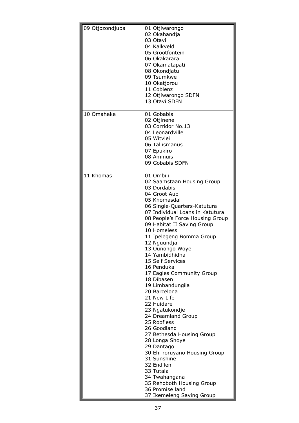| 09 Otjozondjupa | 01 Otjiwarongo<br>02 Okahandja<br>03 Otavi<br>04 Kalkveld<br>05 Grootfontein<br>06 Okakarara<br>07 Okamatapati<br>08 Okondjatu<br>09 Tsumkwe                                                                                                                                                                                                                                                                                                                                                                                                                                                                                                                                                                                                                                        |
|-----------------|-------------------------------------------------------------------------------------------------------------------------------------------------------------------------------------------------------------------------------------------------------------------------------------------------------------------------------------------------------------------------------------------------------------------------------------------------------------------------------------------------------------------------------------------------------------------------------------------------------------------------------------------------------------------------------------------------------------------------------------------------------------------------------------|
|                 | 10 Okatjorou<br>11 Coblenz<br>12 Otjiwarongo SDFN<br>13 Otavi SDFN                                                                                                                                                                                                                                                                                                                                                                                                                                                                                                                                                                                                                                                                                                                  |
| 10 Omaheke      | 01 Gobabis<br>02 Otjinene<br>03 Corridor No.13<br>04 Leonardville<br>05 Witvlei<br>06 Tallismanus<br>07 Epukiro<br>08 Aminuis<br>09 Gobabis SDFN                                                                                                                                                                                                                                                                                                                                                                                                                                                                                                                                                                                                                                    |
| 11 Khomas       | 01 Ombili<br>02 Saamstaan Housing Group<br>03 Dordabis<br>04 Groot Aub<br>05 Khomasdal<br>06 Single-Quarters-Katutura<br>07 Individual Loans in Katutura<br>08 People's Force Housing Group<br>09 Habitat II Saving Group<br>10 Homeless<br>11 Ipelegeng Bomma Group<br>12 Nguundja<br>13 Ounongo Woye<br>14 Yambidhidha<br>15 Self Services<br>16 Penduka<br>17 Eagles Community Group<br>18 Dibasen<br>19 Limbandungila<br>20 Barcelona<br>21 New Life<br>22 Huidare<br>23 Ngatukondje<br>24 Dreamland Group<br>25 Roofless<br>26 Goodland<br>27 Bethesda Housing Group<br>28 Longa Shoye<br>29 Dantago<br>30 Ehi roruyano Housing Group<br>31 Sunshine<br>32 Endileni<br>33 Tutala<br>34 Twahangana<br>35 Rehoboth Housing Group<br>36 Promise land<br>37 Ikemeleng Saving Group |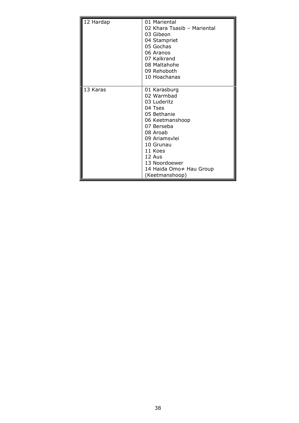| 12 Hardap | 01 Mariental<br>02 Khara Tsasib - Mariental<br>03 Gibeon<br>04 Stampriet<br>05 Gochas<br>06 Aranos<br>07 Kalkrand<br>08 Maltahohe<br>09 Rehoboth<br>10 Hoachanas                                                                  |
|-----------|-----------------------------------------------------------------------------------------------------------------------------------------------------------------------------------------------------------------------------------|
| 13 Karas  | 01 Karasburg<br>02 Warmbad<br>03 Luderitz<br>04 Tses<br>05 Bethanie<br>06 Keetmanshoop<br>07 Berseba<br>08 Aroab<br>09 Ariamsylei<br>10 Grunau<br>11 Koes<br>12 Aus<br>13 Noordoewer<br>14 Haida Omo≠ Hau Group<br>(Keetmanshoop) |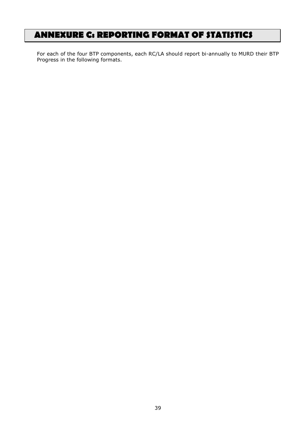# <span id="page-43-0"></span>**ANNEXURE C: REPORTING FORMAT OF STATISTICS**

For each of the four BTP components, each RC/LA should report bi-annually to MURD their BTP Progress in the following formats.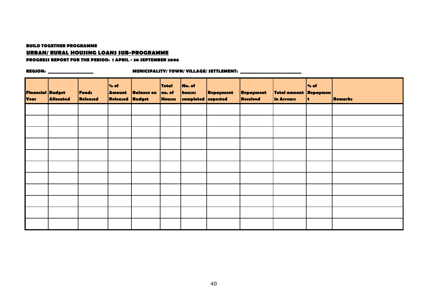#### **BUILD TOGETHER PROGRAMME**

### **URBAN/ RURAL HOUSING LOANS SUB-PROGRAMME**

#### **PROGRESS REPORT FOR THE PERIOD: 1 APRIL - 30 SEPTEMBER 2006**

| Financial Budget<br>Year | <b>Allocated</b> | <b>Funds</b><br>Released | % of<br><b>Amount</b><br><b>Released Budget</b> | <b>Balance on</b> | <b>Total</b><br>no. of<br><b>Houses</b> | No. of<br>houses<br>completed expected | Repayment | Repayment<br><b>Received</b> | Total amount Repaymen<br>in Arrears | % of<br>÷. | <b>Remarks</b> |
|--------------------------|------------------|--------------------------|-------------------------------------------------|-------------------|-----------------------------------------|----------------------------------------|-----------|------------------------------|-------------------------------------|------------|----------------|
|                          |                  |                          |                                                 |                   |                                         |                                        |           |                              |                                     |            |                |
|                          |                  |                          |                                                 |                   |                                         |                                        |           |                              |                                     |            |                |
|                          |                  |                          |                                                 |                   |                                         |                                        |           |                              |                                     |            |                |
|                          |                  |                          |                                                 |                   |                                         |                                        |           |                              |                                     |            |                |
|                          |                  |                          |                                                 |                   |                                         |                                        |           |                              |                                     |            |                |
|                          |                  |                          |                                                 |                   |                                         |                                        |           |                              |                                     |            |                |
|                          |                  |                          |                                                 |                   |                                         |                                        |           |                              |                                     |            |                |
|                          |                  |                          |                                                 |                   |                                         |                                        |           |                              |                                     |            |                |
|                          |                  |                          |                                                 |                   |                                         |                                        |           |                              |                                     |            |                |
|                          |                  |                          |                                                 |                   |                                         |                                        |           |                              |                                     |            |                |
|                          |                  |                          |                                                 |                   |                                         |                                        |           |                              |                                     |            |                |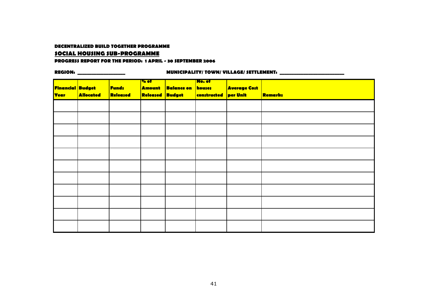#### **DECENTRALIZED BUILD TOGETHER PROGRAMME**

#### **SOCIAL HOUSING SUB-PROGRAMME**

#### **PROGRESS REPORT FOR THE PERIOD: 1 APRIL - 30 SEPTEMBER 2006**

|                  |           |          | <b>% of</b>   |            | No. of      |                     |                |
|------------------|-----------|----------|---------------|------------|-------------|---------------------|----------------|
| Financial Budget |           | Funds    | <b>Amount</b> | Balance on | houses      | <b>Average Cost</b> |                |
| <b>Year</b>      | Allocated | Released | Released      | Budget     | constructed | per Unit            | <b>Remarks</b> |
|                  |           |          |               |            |             |                     |                |
|                  |           |          |               |            |             |                     |                |
|                  |           |          |               |            |             |                     |                |
|                  |           |          |               |            |             |                     |                |
|                  |           |          |               |            |             |                     |                |
|                  |           |          |               |            |             |                     |                |
|                  |           |          |               |            |             |                     |                |
|                  |           |          |               |            |             |                     |                |
|                  |           |          |               |            |             |                     |                |
|                  |           |          |               |            |             |                     |                |
|                  |           |          |               |            |             |                     |                |
|                  |           |          |               |            |             |                     |                |
|                  |           |          |               |            |             |                     |                |
|                  |           |          |               |            |             |                     |                |
|                  |           |          |               |            |             |                     |                |
|                  |           |          |               |            |             |                     |                |
|                  |           |          |               |            |             |                     |                |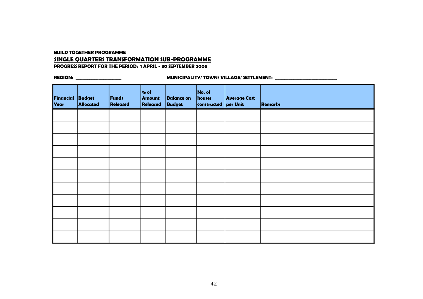**BUILD TOGETHER PROGRAMME**

### **SINGLE QUARTERS TRANSFORMATION SUB-PROGRAMME**

**PROGRESS REPORT FOR THE PERIOD: 1 APRIL - 30 SEPTEMBER 2006**

| Financial Budget<br>Year | <b>Allocated</b> | Funds<br>Released | % of<br>Amount<br>Released | <b>Balance on</b><br><b>Budget</b> | No. of<br>houses<br>constructed per Unit | <b>Average Cost</b> | <b>Remarks</b> |
|--------------------------|------------------|-------------------|----------------------------|------------------------------------|------------------------------------------|---------------------|----------------|
|                          |                  |                   |                            |                                    |                                          |                     |                |
|                          |                  |                   |                            |                                    |                                          |                     |                |
|                          |                  |                   |                            |                                    |                                          |                     |                |
|                          |                  |                   |                            |                                    |                                          |                     |                |
|                          |                  |                   |                            |                                    |                                          |                     |                |
|                          |                  |                   |                            |                                    |                                          |                     |                |
|                          |                  |                   |                            |                                    |                                          |                     |                |
|                          |                  |                   |                            |                                    |                                          |                     |                |
|                          |                  |                   |                            |                                    |                                          |                     |                |
|                          |                  |                   |                            |                                    |                                          |                     |                |
|                          |                  |                   |                            |                                    |                                          |                     |                |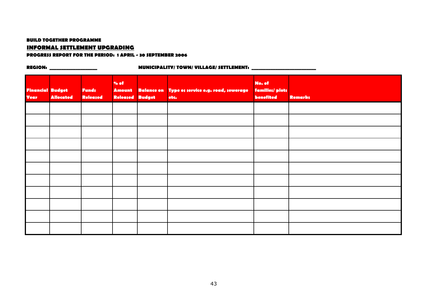#### **BUILD TOGETHER PROGRAMME**

### **INFORMAL SETTLEMENT UPGRADING**

#### **PROGRESS REPORT FOR THE PERIOD: 1 APRIL - 30 SEPTEMBER 2006**

| <b>Financial Budget</b><br><b>Year</b> | <b>Allocated</b> | <b>Funds</b><br>Released | % of<br><b>Amount</b><br>Released | <b>Budget</b> | Balance on Type os service e.g. road, sewerage<br>etc. | No. of<br>families/ plots<br>benefited | <b>Remarks</b> |
|----------------------------------------|------------------|--------------------------|-----------------------------------|---------------|--------------------------------------------------------|----------------------------------------|----------------|
|                                        |                  |                          |                                   |               |                                                        |                                        |                |
|                                        |                  |                          |                                   |               |                                                        |                                        |                |
|                                        |                  |                          |                                   |               |                                                        |                                        |                |
|                                        |                  |                          |                                   |               |                                                        |                                        |                |
|                                        |                  |                          |                                   |               |                                                        |                                        |                |
|                                        |                  |                          |                                   |               |                                                        |                                        |                |
|                                        |                  |                          |                                   |               |                                                        |                                        |                |
|                                        |                  |                          |                                   |               |                                                        |                                        |                |
|                                        |                  |                          |                                   |               |                                                        |                                        |                |
|                                        |                  |                          |                                   |               |                                                        |                                        |                |
|                                        |                  |                          |                                   |               |                                                        |                                        |                |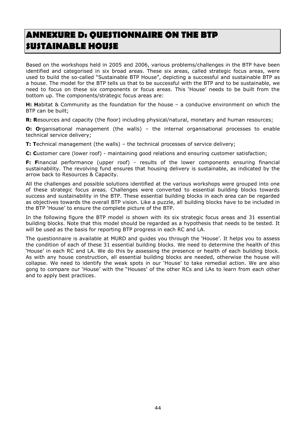# <span id="page-48-0"></span>**ANNEXURE D: QUESTIONNAIRE ON THE BTP SUSTAINABLE HOUSE**

Based on the workshops held in 2005 and 2006, various problems/challenges in the BTP have been identified and categorised in six broad areas. These six areas, called strategic focus areas, were used to build the so-called "Sustainable BTP House", depicting a successful and sustainable BTP as a house. The model for the BTP tells us that to be successful with the BTP and to be sustainable, we need to focus on these six components or focus areas. This 'House' needs to be built from the bottom up. The components/strategic focus areas are:

**H: H**abitat & Community as the foundation for the house – a conducive environment on which the BTP can be built;

**R: R**esources and capacity (the floor) including physical/natural, monetary and human resources;

**O: O**rganisational management (the walls) – the internal organisational processes to enable technical service delivery;

**T: T**echnical management (the walls) – the technical processes of service delivery;

**C: C**ustomer care (lower roof) - maintaining good relations and ensuring customer satisfaction;

**F: F**inancial performance (upper roof) - results of the lower components ensuring financial sustainability. The revolving fund ensures that housing delivery is sustainable, as indicated by the arrow back to Resources & Capacity.

All the challenges and possible solutions identified at the various workshops were grouped into one of these strategic focus areas. Challenges were converted to essential building blocks towards success and sustainability in the BTP. These essential building blocks in each area can be regarded as objectives towards the overall BTP vision. Like a puzzle, all building blocks have to be included in the BTP 'House' to ensure the complete picture of the BTP.

In the following figure the BTP model is shown with its six strategic focus areas and 31 essential building blocks. Note that this model should be regarded as a hypothesis that needs to be tested. It will be used as the basis for reporting BTP progress in each RC and LA.

The questionnaire is available at MURD and guides you through the 'House'. It helps you to assess the condition of each of these 31 essential building blocks. We need to determine the health of this 'House' in each RC and LA. We do this by assessing the presence or health of each building block. As with any house construction, all essential building blocks are needed, otherwise the house will collapse. We need to identify the weak spots in our 'House' to take remedial action. We are also gong to compare our 'House' with the "Houses' of the other RCs and LAs to learn from each other and to apply best practices.